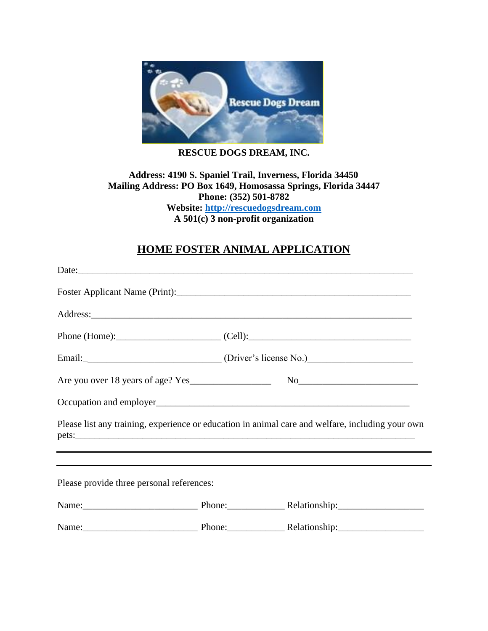

## **RESCUE DOGS DREAM, INC.**

## **Address: 4190 S. Spaniel Trail, Inverness, Florida 34450 Mailing Address: PO Box 1649, Homosassa Springs, Florida 34447 Phone: (352) 501-8782 Website: [http://rescuedogsdream.com](http://rescuedogsdream.com/) A 501(c) 3 non-profit organization**

## **HOME FOSTER ANIMAL APPLICATION**

|                                           | Please list any training, experience or education in animal care and welfare, including your own |
|-------------------------------------------|--------------------------------------------------------------------------------------------------|
|                                           |                                                                                                  |
| Please provide three personal references: |                                                                                                  |
|                                           | Name: Name: Name: Phone: Relationship: Nellationship:                                            |
|                                           | Name: Name: Name: Phone: Relationship: Nellationship:                                            |